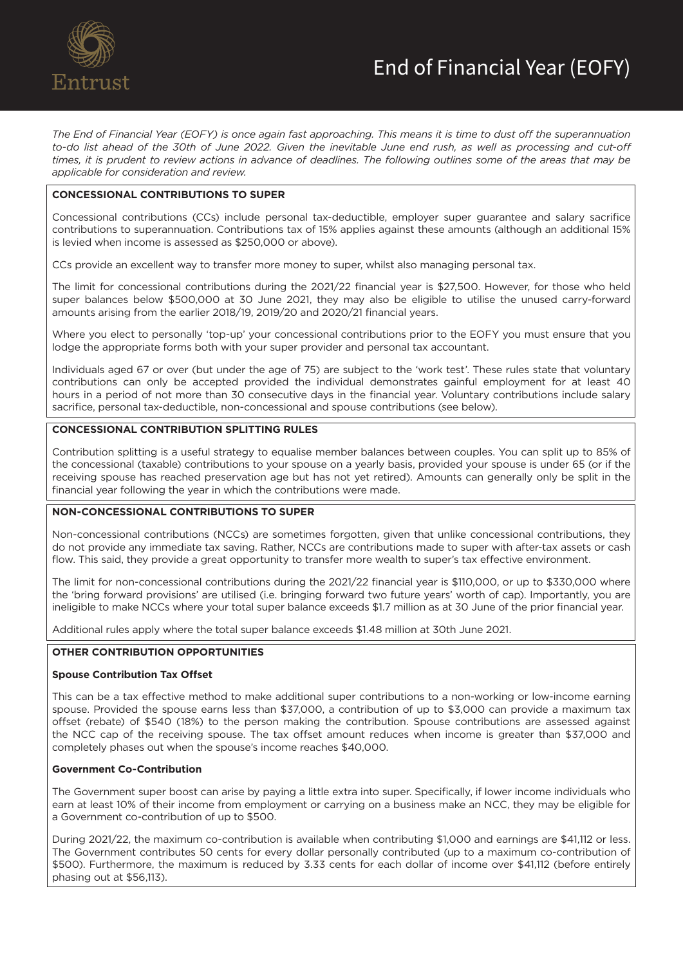

*The End of Financial Year (EOFY) is once again fast approaching. This means it is time to dust off the superannuation*  to-do list ahead of the 30th of June 2022. Given the inevitable June end rush, as well as processing and cut-off *times, it is prudent to review actions in advance of deadlines. The following outlines some of the areas that may be applicable for consideration and review.* 

# **CONCESSIONAL CONTRIBUTIONS TO SUPER**

Concessional contributions (CCs) include personal tax-deductible, employer super guarantee and salary sacrifice contributions to superannuation. Contributions tax of 15% applies against these amounts (although an additional 15% is levied when income is assessed as \$250,000 or above).

CCs provide an excellent way to transfer more money to super, whilst also managing personal tax.

The limit for concessional contributions during the 2021/22 financial year is \$27,500. However, for those who held super balances below \$500,000 at 30 June 2021, they may also be eligible to utilise the unused carry-forward amounts arising from the earlier 2018/19, 2019/20 and 2020/21 financial years.

Where you elect to personally 'top-up' your concessional contributions prior to the EOFY you must ensure that you lodge the appropriate forms both with your super provider and personal tax accountant.

Individuals aged 67 or over (but under the age of 75) are subject to the 'work test'. These rules state that voluntary contributions can only be accepted provided the individual demonstrates gainful employment for at least 40 hours in a period of not more than 30 consecutive days in the financial year. Voluntary contributions include salary sacrifice, personal tax-deductible, non-concessional and spouse contributions (see below).

### **CONCESSIONAL CONTRIBUTION SPLITTING RULES**

Contribution splitting is a useful strategy to equalise member balances between couples. You can split up to 85% of the concessional (taxable) contributions to your spouse on a yearly basis, provided your spouse is under 65 (or if the receiving spouse has reached preservation age but has not yet retired). Amounts can generally only be split in the financial year following the year in which the contributions were made.

### **NON-CONCESSIONAL CONTRIBUTIONS TO SUPER**

Non-concessional contributions (NCCs) are sometimes forgotten, given that unlike concessional contributions, they do not provide any immediate tax saving. Rather, NCCs are contributions made to super with after-tax assets or cash flow. This said, they provide a great opportunity to transfer more wealth to super's tax effective environment.

The limit for non-concessional contributions during the 2021/22 financial year is \$110,000, or up to \$330,000 where the 'bring forward provisions' are utilised (i.e. bringing forward two future years' worth of cap). Importantly, you are ineligible to make NCCs where your total super balance exceeds \$1.7 million as at 30 June of the prior financial year.

Additional rules apply where the total super balance exceeds \$1.48 million at 30th June 2021.

### **OTHER CONTRIBUTION OPPORTUNITIES**

#### **Spouse Contribution Tax Offset**

This can be a tax effective method to make additional super contributions to a non-working or low-income earning spouse. Provided the spouse earns less than \$37,000, a contribution of up to \$3,000 can provide a maximum tax offset (rebate) of \$540 (18%) to the person making the contribution. Spouse contributions are assessed against the NCC cap of the receiving spouse. The tax offset amount reduces when income is greater than \$37,000 and completely phases out when the spouse's income reaches \$40,000.

### **Government Co-Contribution**

The Government super boost can arise by paying a little extra into super. Specifically, if lower income individuals who earn at least 10% of their income from employment or carrying on a business make an NCC, they may be eligible for a Government co-contribution of up to \$500.

During 2021/22, the maximum co-contribution is available when contributing \$1,000 and earnings are \$41,112 or less. The Government contributes 50 cents for every dollar personally contributed (up to a maximum co-contribution of \$500). Furthermore, the maximum is reduced by 3.33 cents for each dollar of income over \$41,112 (before entirely phasing out at \$56,113).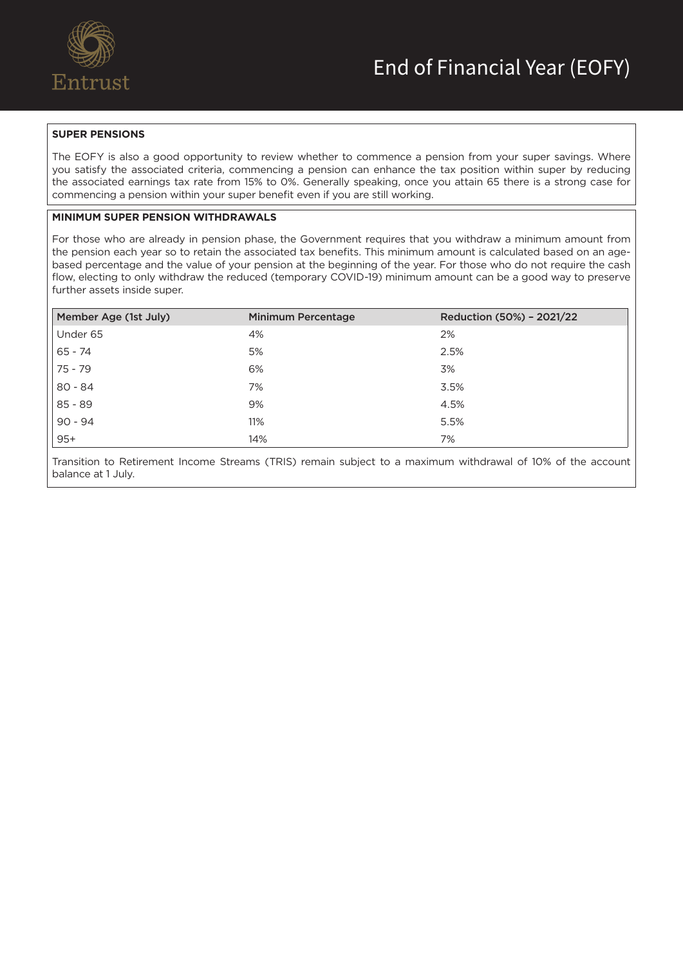

# **SUPER PENSIONS**

The EOFY is also a good opportunity to review whether to commence a pension from your super savings. Where you satisfy the associated criteria, commencing a pension can enhance the tax position within super by reducing the associated earnings tax rate from 15% to 0%. Generally speaking, once you attain 65 there is a strong case for commencing a pension within your super benefit even if you are still working.

# **MINIMUM SUPER PENSION WITHDRAWALS**

For those who are already in pension phase, the Government requires that you withdraw a minimum amount from the pension each year so to retain the associated tax benefits. This minimum amount is calculated based on an agebased percentage and the value of your pension at the beginning of the year. For those who do not require the cash flow, electing to only withdraw the reduced (temporary COVID-19) minimum amount can be a good way to preserve further assets inside super.

| Member Age (1st July) | <b>Minimum Percentage</b> | Reduction (50%) - 2021/22 |
|-----------------------|---------------------------|---------------------------|
| Under 65              | 4%                        | 2%                        |
| $65 - 74$             | 5%                        | 2.5%                      |
| 75 - 79               | 6%                        | 3%                        |
| $80 - 84$             | 7%                        | 3.5%                      |
| $85 - 89$             | 9%                        | 4.5%                      |
| $90 - 94$             | 11%                       | 5.5%                      |
| $95+$                 | 14%                       | 7%                        |

Transition to Retirement Income Streams (TRIS) remain subject to a maximum withdrawal of 10% of the account balance at 1 July.